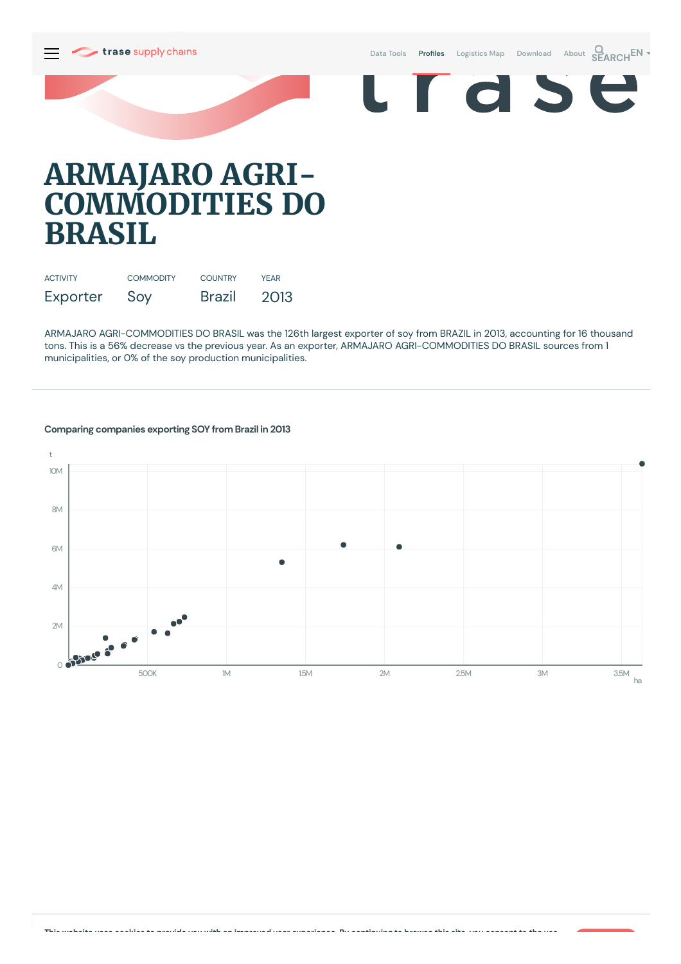Data [Tools](https://supplychains.trase.earth/explore) **Profiles** [Logistics](https://supplychains.trase.earth/logistics-map) Map [Download](https://supplychains.trase.earth/data) [About](https://supplychains.trase.earth/about) **SEARCH<sup>EN</sup>** 



# **ARMAJARO AGRI-COMMODITIES DO BRASIL**

| <b>ACTIVITY</b> | <b>COMMODITY</b> | <b>COUNTRY</b> | <b>YFAR</b> |
|-----------------|------------------|----------------|-------------|
| Exporter        | Soy              | <b>Brazil</b>  | 2013        |

ARMAJARO AGRI-COMMODITIES DO BRASIL was the 126th largest exporter of soy from BRAZIL in 2013, accounting for 16 thousand tons. This is a 56% decrease vs the previous year. As an exporter, ARMAJARO AGRI-COMMODITIES DO BRASIL sources from 1 municipalities, or 0% of the soy production municipalities.



# **Comparing companies exporting SOY from Brazil in 2013**